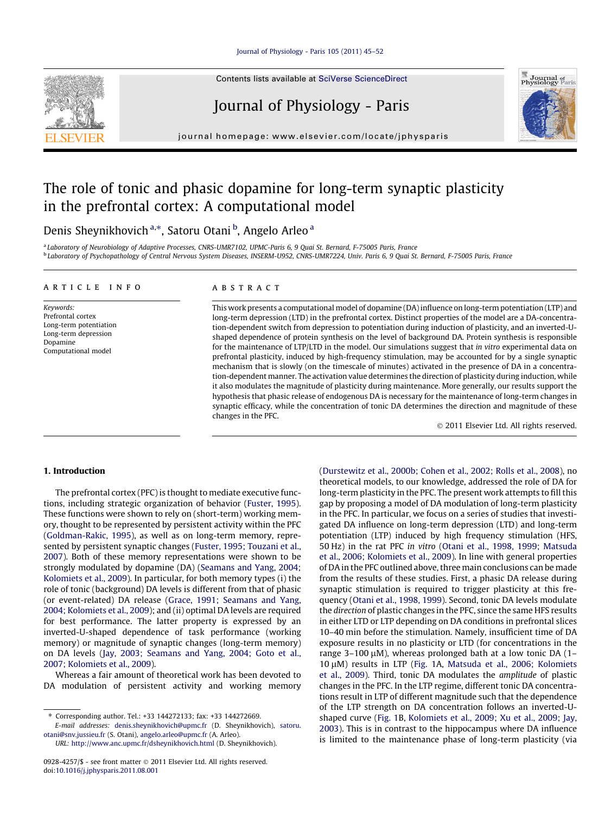## [Journal of Physiology - Paris 105 \(2011\) 45–52](http://dx.doi.org/10.1016/j.jphysparis.2011.08.001)

Contents lists available at [SciVerse ScienceDirect](http://www.sciencedirect.com/science/journal/09284257)

# Journal of Physiology - Paris

journal homepage: [www.elsevier.com/locate/jphysparis](http://www.elsevier.com/locate/jphysparis)

## The role of tonic and phasic dopamine for long-term synaptic plasticity in the prefrontal cortex: A computational model

## Denis Sheynikhovich <sup>a,\*</sup>, Satoru Otani <sup>b</sup>, Angelo Arleo <sup>a</sup>

<sup>a</sup> Laboratory of Neurobiology of Adaptive Processes, CNRS-UMR7102, UPMC-Paris 6, 9 Quai St. Bernard, F-75005 Paris, France <sup>b</sup> Laboratory of Psychopathology of Central Nervous System Diseases, INSERM-U952, CNRS-UMR7224, Univ. Paris 6, 9 Quai St. Bernard, F-75005 Paris, France

### article info

Keywords: Prefrontal cortex Long-term potentiation Long-term depression Dopamine Computational model

## ABSTRACT

This work presents a computational model of dopamine (DA) influence on long-term potentiation (LTP) and long-term depression (LTD) in the prefrontal cortex. Distinct properties of the model are a DA-concentration-dependent switch from depression to potentiation during induction of plasticity, and an inverted-Ushaped dependence of protein synthesis on the level of background DA. Protein synthesis is responsible for the maintenance of LTP/LTD in the model. Our simulations suggest that in vitro experimental data on prefrontal plasticity, induced by high-frequency stimulation, may be accounted for by a single synaptic mechanism that is slowly (on the timescale of minutes) activated in the presence of DA in a concentration-dependent manner. The activation value determines the direction of plasticity during induction, while it also modulates the magnitude of plasticity during maintenance. More generally, our results support the hypothesis that phasic release of endogenous DA is necessary for the maintenance of long-term changes in synaptic efficacy, while the concentration of tonic DA determines the direction and magnitude of these changes in the PFC.

- 2011 Elsevier Ltd. All rights reserved.

## 1. Introduction

The prefrontal cortex (PFC) is thought to mediate executive functions, including strategic organization of behavior [\(Fuster, 1995\)](#page-7-0). These functions were shown to rely on (short-term) working memory, thought to be represented by persistent activity within the PFC ([Goldman-Rakic, 1995\)](#page-7-0), as well as on long-term memory, represented by persistent synaptic changes [\(Fuster, 1995; Touzani et al.,](#page-7-0) [2007](#page-7-0)). Both of these memory representations were shown to be strongly modulated by dopamine (DA) ([Seamans and Yang, 2004;](#page-7-0) [Kolomiets et al., 2009\)](#page-7-0). In particular, for both memory types (i) the role of tonic (background) DA levels is different from that of phasic (or event-related) DA release [\(Grace, 1991; Seamans and Yang,](#page-7-0) [2004; Kolomiets et al., 2009](#page-7-0)); and (ii) optimal DA levels are required for best performance. The latter property is expressed by an inverted-U-shaped dependence of task performance (working memory) or magnitude of synaptic changes (long-term memory) on DA levels [\(Jay, 2003; Seamans and Yang, 2004; Goto et al.,](#page-7-0) [2007; Kolomiets et al., 2009](#page-7-0)).

Whereas a fair amount of theoretical work has been devoted to DA modulation of persistent activity and working memory

⇑ Corresponding author. Tel.: +33 144272133; fax: +33 144272669.

E-mail addresses: [denis.sheynikhovich@upmc.fr](mailto:denis.sheynikhovich@upmc.fr) (D. Sheynikhovich), [satoru.](mailto:satoru.otani@snv.jussieu.fr) [otani@snv.jussieu.fr](mailto:satoru.otani@snv.jussieu.fr) (S. Otani), [angelo.arleo@upmc.fr](mailto:angelo.arleo@upmc.fr) (A. Arleo).

([Durstewitz et al., 2000b; Cohen et al., 2002; Rolls et al., 2008\)](#page-7-0), no theoretical models, to our knowledge, addressed the role of DA for long-term plasticity in the PFC. The present work attempts to fill this gap by proposing a model of DA modulation of long-term plasticity in the PFC. In particular, we focus on a series of studies that investigated DA influence on long-term depression (LTD) and long-term potentiation (LTP) induced by high frequency stimulation (HFS, 50 Hz) in the rat PFC in vitro [\(Otani et al., 1998, 1999; Matsuda](#page-7-0) [et al., 2006; Kolomiets et al., 2009](#page-7-0)). In line with general properties of DA in the PFC outlined above, three main conclusions can be made from the results of these studies. First, a phasic DA release during synaptic stimulation is required to trigger plasticity at this frequency ([Otani et al., 1998, 1999\)](#page-7-0). Second, tonic DA levels modulate the direction of plastic changes in the PFC, since the same HFS results in either LTD or LTP depending on DA conditions in prefrontal slices 10–40 min before the stimulation. Namely, insufficient time of DA exposure results in no plasticity or LTD (for concentrations in the range 3–100  $\mu$ M), whereas prolonged bath at a low tonic DA (1–  $10 \mu$ M) results in LTP ([Fig. 1](#page-1-0)A, [Matsuda et al., 2006; Kolomiets](#page-7-0) [et al., 2009\)](#page-7-0). Third, tonic DA modulates the amplitude of plastic changes in the PFC. In the LTP regime, different tonic DA concentrations result in LTP of different magnitude such that the dependence of the LTP strength on DA concentration follows an inverted-Ushaped curve [\(Fig. 1B](#page-1-0), [Kolomiets et al., 2009; Xu et al., 2009; Jay,](#page-7-0) [2003](#page-7-0)). This is in contrast to the hippocampus where DA influence is limited to the maintenance phase of long-term plasticity (via





URL: <http://www.anc.upmc.fr/dsheynikhovich.html> (D. Sheynikhovich).

<sup>0928-4257/\$ -</sup> see front matter © 2011 Elsevier Ltd. All rights reserved. doi[:10.1016/j.jphysparis.2011.08.001](http://dx.doi.org/10.1016/j.jphysparis.2011.08.001)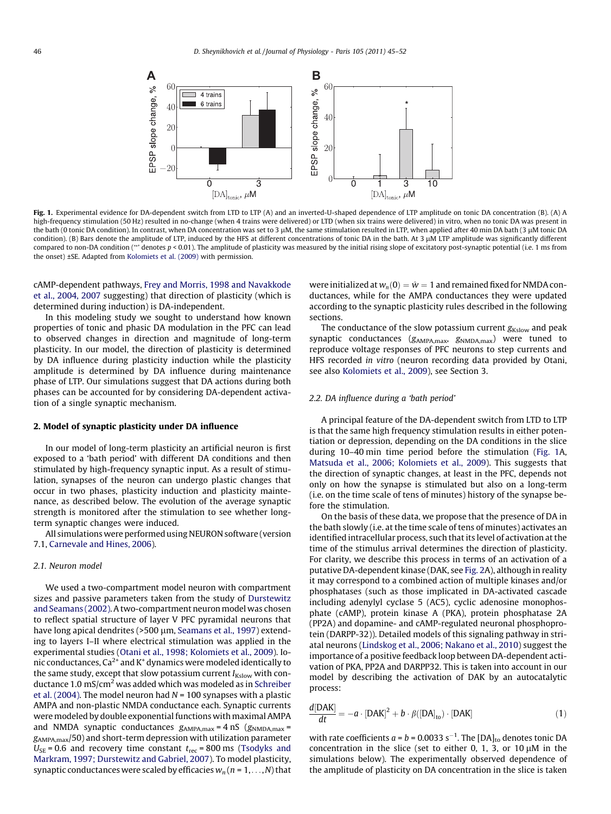<span id="page-1-0"></span>

Fig. 1. Experimental evidence for DA-dependent switch from LTD to LTP (A) and an inverted-U-shaped dependence of LTP amplitude on tonic DA concentration (B). (A) A high-frequency stimulation (50 Hz) resulted in no-change (when 4 trains were delivered) or LTD (when six trains were delivered) in vitro, when no tonic DA was present in the bath (0 tonic DA condition). In contrast, when DA concentration was set to 3 μM, the same stimulation resulted in LTP, when applied after 40 min DA bath (3 μM tonic DA condition). (B) Bars denote the amplitude of LTP, induced by the HFS at different concentrations of tonic DA in the bath. At 3 µM LTP amplitude was significantly different compared to non-DA condition (\*\* denotes p < 0.01). The amplitude of plasticity was measured by the initial rising slope of excitatory post-synaptic potential (i.e. 1 ms from the onset) ±SE. Adapted from [Kolomiets et al. \(2009\)](#page-7-0) with permission.

cAMP-dependent pathways, [Frey and Morris, 1998 and Navakkode](#page-7-0) [et al., 2004, 2007](#page-7-0) suggesting) that direction of plasticity (which is determined during induction) is DA-independent.

In this modeling study we sought to understand how known properties of tonic and phasic DA modulation in the PFC can lead to observed changes in direction and magnitude of long-term plasticity. In our model, the direction of plasticity is determined by DA influence during plasticity induction while the plasticity amplitude is determined by DA influence during maintenance phase of LTP. Our simulations suggest that DA actions during both phases can be accounted for by considering DA-dependent activation of a single synaptic mechanism.

## 2. Model of synaptic plasticity under DA influence

In our model of long-term plasticity an artificial neuron is first exposed to a 'bath period' with different DA conditions and then stimulated by high-frequency synaptic input. As a result of stimulation, synapses of the neuron can undergo plastic changes that occur in two phases, plasticity induction and plasticity maintenance, as described below. The evolution of the average synaptic strength is monitored after the stimulation to see whether longterm synaptic changes were induced.

All simulations were performed using NEURON software (version 7.1, [Carnevale and Hines, 2006\)](#page-7-0).

#### 2.1. Neuron model

We used a two-compartment model neuron with compartment sizes and passive parameters taken from the study of [Durstewitz](#page-7-0) [and Seamans \(2002\)](#page-7-0). A two-compartment neuron model was chosen to reflect spatial structure of layer V PFC pyramidal neurons that have long apical dendrites (>500 µm, [Seamans et al., 1997\)](#page-7-0) extending to layers I–II where electrical stimulation was applied in the experimental studies ([Otani et al., 1998; Kolomiets et al., 2009](#page-7-0)). Ionic conductances,  $Ca^{2+}$  and  $K^+$  dynamics were modeled identically to the same study, except that slow potassium current  $I_{Kslow}$  with con-ductance 1.0 mS/cm<sup>2</sup> was added which was modeled as in [Schreiber](#page-7-0) [et al. \(2004\)](#page-7-0). The model neuron had  $N = 100$  synapses with a plastic AMPA and non-plastic NMDA conductance each. Synaptic currents were modeled by double exponential functions with maximal AMPA and NMDA synaptic conductances  $g_{AMPA,max} = 4$  nS  $(g_{NMDA,max} =$ gAMPA,max/50) and short-term depression with utilization parameter  $U_{\text{SE}}$  = 0.6 and recovery time constant  $t_{\text{rec}}$  = 800 ms [\(Tsodyks and](#page-7-0) [Markram, 1997; Durstewitz and Gabriel, 2007](#page-7-0)). To model plasticity, synaptic conductances were scaled by efficacies  $w_n$  ( $n = 1, \ldots, N$ ) that were initialized at  $w_n(0) = \hat{w} = 1$  and remained fixed for NMDA conductances, while for the AMPA conductances they were updated according to the synaptic plasticity rules described in the following sections.

The conductance of the slow potassium current  $g_{Kslow}$  and peak synaptic conductances (gAMPA,max, gNMDA,max) were tuned to reproduce voltage responses of PFC neurons to step currents and HFS recorded in vitro (neuron recording data provided by Otani, see also [Kolomiets et al., 2009\)](#page-7-0), see Section 3.

### 2.2. DA influence during a 'bath period'

A principal feature of the DA-dependent switch from LTD to LTP is that the same high frequency stimulation results in either potentiation or depression, depending on the DA conditions in the slice during 10–40 min time period before the stimulation (Fig. 1A, [Matsuda et al., 2006; Kolomiets et al., 2009\)](#page-7-0). This suggests that the direction of synaptic changes, at least in the PFC, depends not only on how the synapse is stimulated but also on a long-term (i.e. on the time scale of tens of minutes) history of the synapse before the stimulation.

On the basis of these data, we propose that the presence of DA in the bath slowly (i.e. at the time scale of tens of minutes) activates an identified intracellular process, such that its level of activation at the time of the stimulus arrival determines the direction of plasticity. For clarity, we describe this process in terms of an activation of a putative DA-dependent kinase (DAK, see [Fig. 2A](#page-2-0)), although in reality it may correspond to a combined action of multiple kinases and/or phosphatases (such as those implicated in DA-activated cascade including adenylyl cyclase 5 (AC5), cyclic adenosine monophosphate (cAMP), protein kinase A (PKA), protein phosphatase 2A (PP2A) and dopamine- and cAMP-regulated neuronal phosphoprotein (DARPP-32)). Detailed models of this signaling pathway in striatal neurons [\(Lindskog et al., 2006; Nakano et al., 2010](#page-7-0)) suggest the importance of a positive feedback loop between DA-dependent activation of PKA, PP2A and DARPP32. This is taken into account in our model by describing the activation of DAK by an autocatalytic process:

$$
\frac{d[\text{DAK}]}{dt} = -a \cdot [\text{DAK}]^2 + b \cdot \beta([\text{DA}]_{\text{to}}) \cdot [\text{DAK}] \tag{1}
$$

with rate coefficients  $a = b = 0.0033$  s<sup>-1</sup>. The [DA]<sub>to</sub> denotes tonic DA concentration in the slice (set to either 0, 1, 3, or  $10 \mu M$  in the simulations below). The experimentally observed dependence of the amplitude of plasticity on DA concentration in the slice is taken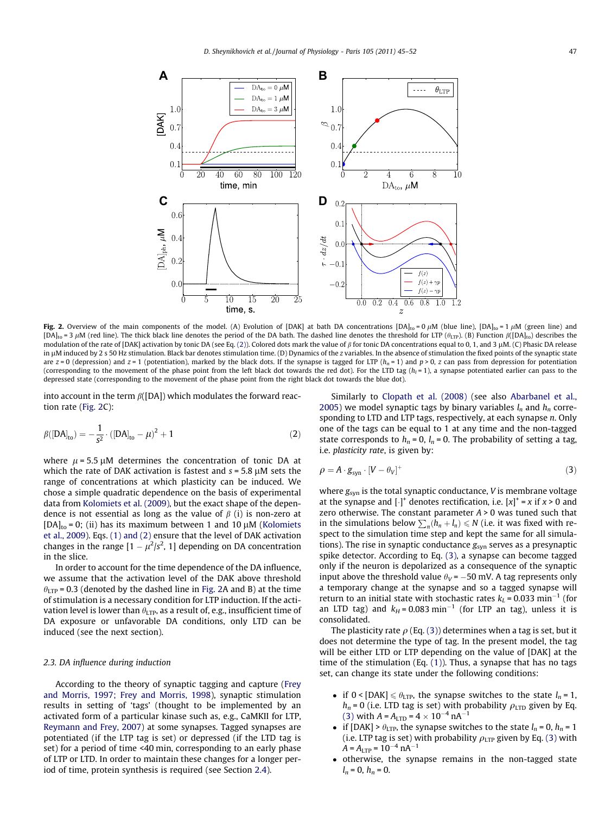<span id="page-2-0"></span>

Fig. 2. Overview of the main components of the model. (A) Evolution of [DAK] at bath DA concentrations  $[DA]_{to} = 0 \mu M$  (blue line),  $[DA]_{to} = 1 \mu M$  (green line) and  $[DA]_{to} = 3 \mu M$  (red line). The thick black line denotes the period of the DA bath. The dashed line denotes the threshold for LTP ( $\theta_{\text{LTP}}$ ). (B) Function  $\beta([DA]_{to})$  describes the modulation of the rate of [DAK] activation by tonic DA (see Eq. (2)). Colored dots mark the value of  $\beta$  for tonic DA concentrations equal to 0, 1, and 3 µM. (C) Phasic DA release in µM induced by 2 s 50 Hz stimulation. Black bar denotes stimulation time. (D) Dynamics of the z variables. In the absence of stimulation the fixed points of the synaptic state are  $z = 0$  (depression) and  $z = 1$  (potentiation), marked by the black dots. If the synapse is tagged for LTP ( $h_n = 1$ ) and  $p > 0$ , z can pass from depression for potentiation (corresponding to the movement of the phase point from the left black dot towards the red dot). For the LTD tag  $(h<sub>l</sub> = 1)$ , a synapse potentiated earlier can pass to the depressed state (corresponding to the movement of the phase point from the right black dot towards the blue dot).

into account in the term  $\beta$ ([DA]) which modulates the forward reaction rate (Fig. 2C):

$$
\beta([DA]_{to}) = -\frac{1}{s^2} \cdot ([DA]_{to} - \mu)^2 + 1 \tag{2}
$$

where  $\mu$  = 5.5  $\mu$ M determines the concentration of tonic DA at which the rate of DAK activation is fastest and  $s = 5.8 \mu M$  sets the range of concentrations at which plasticity can be induced. We chose a simple quadratic dependence on the basis of experimental data from [Kolomiets et al. \(2009\)](#page-7-0), but the exact shape of the dependence is not essential as long as the value of  $\beta$  (i) is non-zero at  $[DA]_{to} = 0$ ; (ii) has its maximum between 1 and 10  $\mu$ M [\(Kolomiets](#page-7-0) [et al., 2009](#page-7-0)). Eqs. [\(1\) and \(2\)](#page-1-0) ensure that the level of DAK activation changes in the range  $[1 - \mu^2/s^2, 1]$  depending on DA concentration in the slice.

In order to account for the time dependence of the DA influence, we assume that the activation level of the DAK above threshold  $\theta_{\text{LTP}}$  = 0.3 (denoted by the dashed line in Fig. 2A and B) at the time of stimulation is a necessary condition for LTP induction. If the activation level is lower than  $\theta_{\text{LTP}}$ , as a result of, e.g., insufficient time of DA exposure or unfavorable DA conditions, only LTD can be induced (see the next section).

## 2.3. DA influence during induction

According to the theory of synaptic tagging and capture [\(Frey](#page-7-0) [and Morris, 1997; Frey and Morris, 1998\)](#page-7-0), synaptic stimulation results in setting of 'tags' (thought to be implemented by an activated form of a particular kinase such as, e.g., CaMKII for LTP, [Reymann and Frey, 2007\)](#page-7-0) at some synapses. Tagged synapses are potentiated (if the LTP tag is set) or depressed (if the LTD tag is set) for a period of time <40 min, corresponding to an early phase of LTP or LTD. In order to maintain these changes for a longer period of time, protein synthesis is required (see Section [2.4\)](#page-3-0).

Similarly to [Clopath et al. \(2008\)](#page-7-0) (see also [Abarbanel et al.,](#page-7-0) [2005](#page-7-0)) we model synaptic tags by binary variables  $l_n$  and  $h_n$  corresponding to LTD and LTP tags, respectively, at each synapse n. Only one of the tags can be equal to 1 at any time and the non-tagged state corresponds to  $h_n = 0$ ,  $l_n = 0$ . The probability of setting a tag, i.e. plasticity rate, is given by:

$$
\rho = A \cdot g_{syn} \cdot [V - \theta_V]^+ \tag{3}
$$

where  $g_{syn}$  is the total synaptic conductance,  $V$  is membrane voltage at the synapse and  $[\cdot]^+$  denotes rectification, i.e.  $[x]^+$  = x if  $x > 0$  and zero otherwise. The constant parameter  $A > 0$  was tuned such that in the simulations below  $\sum_{n}$   $(h_n + l_n) \le N$  (i.e. it was fixed with respect to the simulation time step and kept the same for all simulations). The rise in synaptic conductance  $g_{syn}$  serves as a presynaptic spike detector. According to Eq. (3), a synapse can become tagged only if the neuron is depolarized as a consequence of the synaptic input above the threshold value  $\theta_V$  = -50 mV. A tag represents only a temporary change at the synapse and so a tagged synapse will return to an initial state with stochastic rates  $k_l$  = 0.033 min<sup>-1</sup> (for an LTD tag) and  $k_H = 0.083$  min<sup>-1</sup> (for LTP an tag), unless it is consolidated.

The plasticity rate  $\rho$  (Eq. (3)) determines when a tag is set, but it does not determine the type of tag. In the present model, the tag will be either LTD or LTP depending on the value of [DAK] at the time of the stimulation (Eq. [\(1\)\)](#page-1-0). Thus, a synapse that has no tags set, can change its state under the following conditions:

- if  $0$  < [DAK]  $\le \theta_{\text{LTP}}$ , the synapse switches to the state  $l_n = 1$ ,  $h_n$  = 0 (i.e. LTD tag is set) with probability  $\rho_{\rm LTD}$  given by Eq. (3) with  $A = A_{\text{LTD}} = 4 \times 10^{-4} \text{ nA}^{-1}$
- if [DAK] >  $\theta_{\text{LTP}}$ , the synapse switches to the state  $l_n = 0$ ,  $h_n = 1$ (i.e. LTP tag is set) with probability  $\rho_{\rm LTP}$  given by Eq. (3) with  $A = A_{\text{LTP}} = 10^{-4} \text{ nA}^{-1}$
- otherwise, the synapse remains in the non-tagged state  $l_n = 0, h_n = 0.$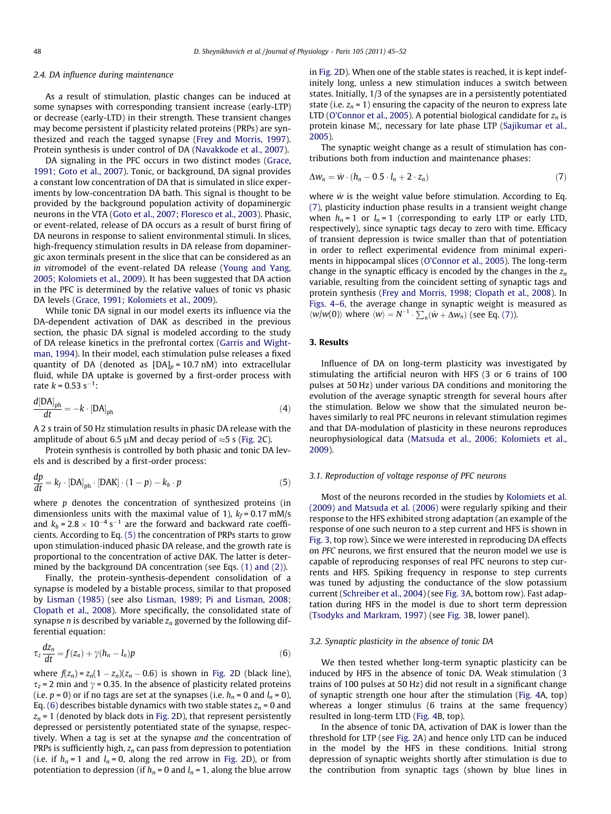### <span id="page-3-0"></span>2.4. DA influence during maintenance

As a result of stimulation, plastic changes can be induced at some synapses with corresponding transient increase (early-LTP) or decrease (early-LTD) in their strength. These transient changes may become persistent if plasticity related proteins (PRPs) are synthesized and reach the tagged synapse ([Frey and Morris, 1997\)](#page-7-0). Protein synthesis is under control of DA ([Navakkode et al., 2007\)](#page-7-0).

DA signaling in the PFC occurs in two distinct modes [\(Grace,](#page-7-0) [1991; Goto et al., 2007](#page-7-0)). Tonic, or background, DA signal provides a constant low concentration of DA that is simulated in slice experiments by low-concentration DA bath. This signal is thought to be provided by the background population activity of dopaminergic neurons in the VTA [\(Goto et al., 2007; Floresco et al., 2003\)](#page-7-0). Phasic, or event-related, release of DA occurs as a result of burst firing of DA neurons in response to salient environmental stimuli. In slices, high-frequency stimulation results in DA release from dopaminergic axon terminals present in the slice that can be considered as an in vitromodel of the event-related DA release ([Young and Yang,](#page-7-0) [2005; Kolomiets et al., 2009\)](#page-7-0). It has been suggested that DA action in the PFC is determined by the relative values of tonic vs phasic DA levels ([Grace, 1991; Kolomiets et al., 2009](#page-7-0)).

While tonic DA signal in our model exerts its influence via the DA-dependent activation of DAK as described in the previous section, the phasic DA signal is modeled according to the study of DA release kinetics in the prefrontal cortex [\(Garris and Wight](#page-7-0)[man, 1994\)](#page-7-0). In their model, each stimulation pulse releases a fixed quantity of DA (denoted as  $[DA]_p = 10.7$  nM) into extracellular fluid, while DA uptake is governed by a first-order process with rate  $k = 0.53$  s<sup>-1</sup>:

$$
\frac{d[DA]_{\text{ph}}}{dt} = -k \cdot [DA]_{\text{ph}} \tag{4}
$$

A 2 s train of 50 Hz stimulation results in phasic DA release with the amplitude of about 6.5  $\mu$ M and decay period of  $\approx$  5 s ([Fig. 2C](#page-2-0)).

Protein synthesis is controlled by both phasic and tonic DA levels and is described by a first-order process:

$$
\frac{dp}{dt} = k_f \cdot [DA]_{ph} \cdot [DAK] \cdot (1 - p) - k_b \cdot p \tag{5}
$$

where  $p$  denotes the concentration of synthesized proteins (in dimensionless units with the maximal value of 1),  $k_f = 0.17$  mM/s and  $k_b = 2.8 \times 10^{-4} \text{ s}^{-1}$  are the forward and backward rate coefficients. According to Eq. (5) the concentration of PRPs starts to grow upon stimulation-induced phasic DA release, and the growth rate is proportional to the concentration of active DAK. The latter is determined by the background DA concentration (see Eqs. [\(1\) and \(2\)\)](#page-1-0).

Finally, the protein-synthesis-dependent consolidation of a synapse is modeled by a bistable process, similar to that proposed by [Lisman \(1985\)](#page-7-0) (see also [Lisman, 1989; Pi and Lisman, 2008;](#page-7-0) [Clopath et al., 2008\)](#page-7-0). More specifically, the consolidated state of synapse *n* is described by variable  $z_n$  governed by the following differential equation:

$$
\tau_z \frac{dz_n}{dt} = f(z_n) + \gamma (h_n - l_n) p \tag{6}
$$

where  $f(z_n) = z_n(1 - z_n)(z_n - 0.6)$  is shown in [Fig. 2D](#page-2-0) (black line),  $\tau_z$  = 2 min and  $\gamma$  = 0.35. In the absence of plasticity related proteins (i.e.  $p = 0$ ) or if no tags are set at the synapses (i.e.  $h_n = 0$  and  $l_n = 0$ ), Eq. (6) describes bistable dynamics with two stable states  $z_n = 0$  and  $z_n$  = 1 (denoted by black dots in [Fig. 2D](#page-2-0)), that represent persistently depressed or persistently potentiated state of the synapse, respectively. When a tag is set at the synapse and the concentration of PRPs is sufficiently high,  $z_n$  can pass from depression to potentiation (i.e. if  $h_n = 1$  and  $l_n = 0$ , along the red arrow in [Fig. 2D](#page-2-0)), or from potentiation to depression (if  $h_n = 0$  and  $l_n = 1$ , along the blue arrow

in [Fig. 2D](#page-2-0)). When one of the stable states is reached, it is kept indefinitely long, unless a new stimulation induces a switch between states. Initially, 1/3 of the synapses are in a persistently potentiated state (i.e.  $z_n = 1$ ) ensuring the capacity of the neuron to express late LTD [\(O'Connor et al., 2005](#page-7-0)). A potential biological candidate for  $z_n$  is protein kinase Mζ, necessary for late phase LTP ([Sajikumar et al.,](#page-7-0) [2005](#page-7-0)).

The synaptic weight change as a result of stimulation has contributions both from induction and maintenance phases:

$$
\Delta w_n = \hat{w} \cdot (h_n - 0.5 \cdot l_n + 2 \cdot z_n) \tag{7}
$$

where  $\hat{w}$  is the weight value before stimulation. According to Eq. (7), plasticity induction phase results in a transient weight change when  $h_n = 1$  or  $l_n = 1$  (corresponding to early LTP or early LTD, respectively), since synaptic tags decay to zero with time. Efficacy of transient depression is twice smaller than that of potentiation in order to reflect experimental evidence from minimal experiments in hippocampal slices ([O'Connor et al., 2005\)](#page-7-0). The long-term change in the synaptic efficacy is encoded by the changes in the  $z_n$ variable, resulting from the coincident setting of synaptic tags and protein synthesis ([Frey and Morris, 1998; Clopath et al., 2008](#page-7-0)). In [Figs. 4–6,](#page-4-0) the average change in synaptic weight is measured as  $\langle w/w(0) \rangle$  where  $\langle w \rangle = N^{-1} \cdot \sum_n (\hat{w} + \Delta w_n)$  (see Eq. (7)).

## 3. Results

Influence of DA on long-term plasticity was investigated by stimulating the artificial neuron with HFS (3 or 6 trains of 100 pulses at 50 Hz) under various DA conditions and monitoring the evolution of the average synaptic strength for several hours after the stimulation. Below we show that the simulated neuron behaves similarly to real PFC neurons in relevant stimulation regimes and that DA-modulation of plasticity in these neurons reproduces neurophysiological data ([Matsuda et al., 2006; Kolomiets et al.,](#page-7-0) [2009\)](#page-7-0).

### 3.1. Reproduction of voltage response of PFC neurons

Most of the neurons recorded in the studies by [Kolomiets et al.](#page-7-0) [\(2009\) and Matsuda et al. \(2006\)](#page-7-0) were regularly spiking and their response to the HFS exhibited strong adaptation (an example of the response of one such neuron to a step current and HFS is shown in [Fig. 3,](#page-4-0) top row). Since we were interested in reproducing DA effects on PFC neurons, we first ensured that the neuron model we use is capable of reproducing responses of real PFC neurons to step currents and HFS. Spiking frequency in response to step currents was tuned by adjusting the conductance of the slow potassium current [\(Schreiber et al., 2004](#page-7-0)) (see [Fig. 3A](#page-4-0), bottom row). Fast adaptation during HFS in the model is due to short term depression ([Tsodyks and Markram, 1997\)](#page-7-0) (see [Fig. 3B](#page-4-0), lower panel).

### 3.2. Synaptic plasticity in the absence of tonic DA

We then tested whether long-term synaptic plasticity can be induced by HFS in the absence of tonic DA. Weak stimulation (3 trains of 100 pulses at 50 Hz) did not result in a significant change of synaptic strength one hour after the stimulation ([Fig. 4A](#page-4-0), top) whereas a longer stimulus (6 trains at the same frequency) resulted in long-term LTD [\(Fig. 4B](#page-4-0), top).

In the absence of tonic DA, activation of DAK is lower than the threshold for LTP (see [Fig. 2](#page-2-0)A) and hence only LTD can be induced in the model by the HFS in these conditions. Initial strong depression of synaptic weights shortly after stimulation is due to the contribution from synaptic tags (shown by blue lines in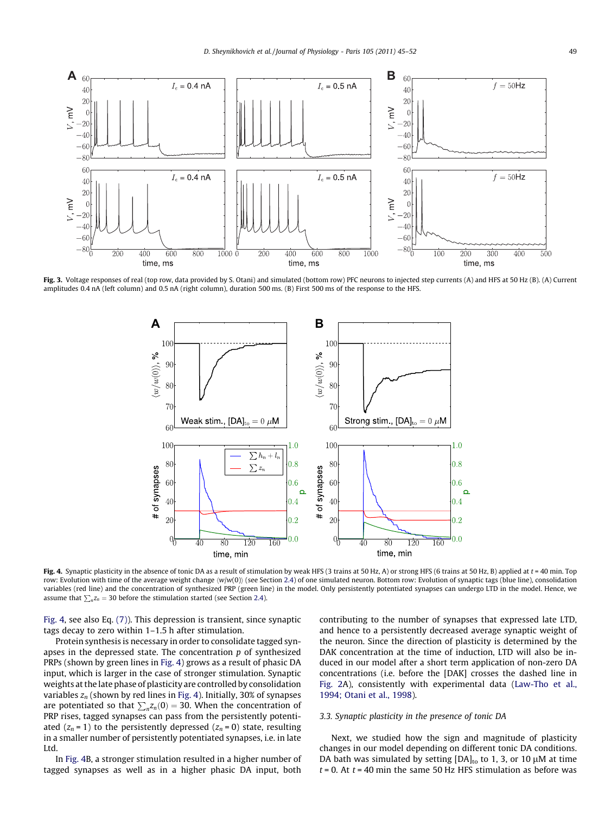<span id="page-4-0"></span>

Fig. 3. Voltage responses of real (top row, data provided by S. Otani) and simulated (bottom row) PFC neurons to injected step currents (A) and HFS at 50 Hz (B). (A) Current amplitudes 0.4 nA (left column) and 0.5 nA (right column), duration 500 ms. (B) First 500 ms of the response to the HFS.



Fig. 4. Synaptic plasticity in the absence of tonic DA as a result of stimulation by weak HFS (3 trains at 50 Hz, A) or strong HFS (6 trains at 50 Hz, B) applied at t = 40 min. Top row: Evolution with time of the average weight change  $\langle w \rangle(w(0))$  (see Section [2.4](#page-3-0)) of one simulated neuron. Bottom row: Evolution of synaptic tags (blue line), consolidation variables (red line) and the concentration of synthesized PRP (green line) in the model. Only persistently potentiated synapses can undergo LTD in the model. Hence, we assume that  $\sum_{n} z_n = 30$  before the stimulation started (see Section [2.4\)](#page-3-0).

Fig. 4, see also Eq. [\(7\)](#page-3-0)). This depression is transient, since synaptic tags decay to zero within 1–1.5 h after stimulation.

Protein synthesis is necessary in order to consolidate tagged synapses in the depressed state. The concentration  $p$  of synthesized PRPs (shown by green lines in Fig. 4) grows as a result of phasic DA input, which is larger in the case of stronger stimulation. Synaptic weights at the late phase of plasticity are controlled by consolidation variables  $z_n$  (shown by red lines in Fig. 4). Initially, 30% of synapses are potentiated so that  $\sum_{n} z_n(0) = 30$ . When the concentration of PRP rises, tagged synapses can pass from the persistently potentiated  $(z_n = 1)$  to the persistently depressed  $(z_n = 0)$  state, resulting in a smaller number of persistently potentiated synapses, i.e. in late Ltd.

In Fig. 4B, a stronger stimulation resulted in a higher number of tagged synapses as well as in a higher phasic DA input, both contributing to the number of synapses that expressed late LTD, and hence to a persistently decreased average synaptic weight of the neuron. Since the direction of plasticity is determined by the DAK concentration at the time of induction, LTD will also be induced in our model after a short term application of non-zero DA concentrations (i.e. before the [DAK] crosses the dashed line in [Fig. 2](#page-2-0)A), consistently with experimental data ([Law-Tho et al.,](#page-7-0) [1994; Otani et al., 1998\)](#page-7-0).

## 3.3. Synaptic plasticity in the presence of tonic DA

Next, we studied how the sign and magnitude of plasticity changes in our model depending on different tonic DA conditions. DA bath was simulated by setting  $[DA]_{to}$  to 1, 3, or 10  $\mu$ M at time  $t = 0$ . At  $t = 40$  min the same 50 Hz HFS stimulation as before was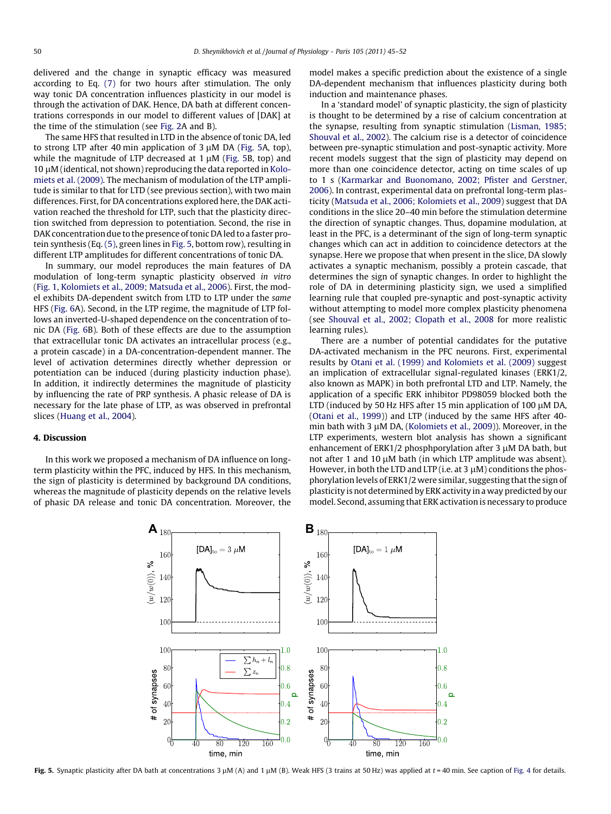delivered and the change in synaptic efficacy was measured according to Eq. [\(7\)](#page-3-0) for two hours after stimulation. The only way tonic DA concentration influences plasticity in our model is through the activation of DAK. Hence, DA bath at different concentrations corresponds in our model to different values of [DAK] at the time of the stimulation (see [Fig. 2A](#page-2-0) and B).

The same HFS that resulted in LTD in the absence of tonic DA, led to strong LTP after 40 min application of  $3 \mu M$  DA (Fig. 5A, top), while the magnitude of LTP decreased at  $1 \mu$ M (Fig. 5B, top) and 10 µM (identical, not shown) reproducing the data reported in [Kolo](#page-7-0)[miets et al. \(2009\)](#page-7-0). The mechanism of modulation of the LTP amplitude is similar to that for LTD (see previous section), with two main differences. First, for DA concentrations explored here, the DAK activation reached the threshold for LTP, such that the plasticity direction switched from depression to potentiation. Second, the rise in DAK concentration due to the presence of tonic DA led to a faster protein synthesis (Eq. [\(5\),](#page-3-0) green lines in Fig. 5, bottom row), resulting in different LTP amplitudes for different concentrations of tonic DA.

In summary, our model reproduces the main features of DA modulation of long-term synaptic plasticity observed in vitro ([Fig. 1,](#page-1-0) [Kolomiets et al., 2009; Matsuda et al., 2006](#page-7-0)). First, the model exhibits DA-dependent switch from LTD to LTP under the same HFS ([Fig. 6A](#page-6-0)). Second, in the LTP regime, the magnitude of LTP follows an inverted-U-shaped dependence on the concentration of tonic DA ([Fig. 6B](#page-6-0)). Both of these effects are due to the assumption that extracellular tonic DA activates an intracellular process (e.g., a protein cascade) in a DA-concentration-dependent manner. The level of activation determines directly whether depression or potentiation can be induced (during plasticity induction phase). In addition, it indirectly determines the magnitude of plasticity by influencing the rate of PRP synthesis. A phasic release of DA is necessary for the late phase of LTP, as was observed in prefrontal slices ([Huang et al., 2004](#page-7-0)).

### 4. Discussion

In this work we proposed a mechanism of DA influence on longterm plasticity within the PFC, induced by HFS. In this mechanism, the sign of plasticity is determined by background DA conditions, whereas the magnitude of plasticity depends on the relative levels of phasic DA release and tonic DA concentration. Moreover, the model makes a specific prediction about the existence of a single DA-dependent mechanism that influences plasticity during both induction and maintenance phases.

In a 'standard model' of synaptic plasticity, the sign of plasticity is thought to be determined by a rise of calcium concentration at the synapse, resulting from synaptic stimulation [\(Lisman, 1985;](#page-7-0) [Shouval et al., 2002](#page-7-0)). The calcium rise is a detector of coincidence between pre-synaptic stimulation and post-synaptic activity. More recent models suggest that the sign of plasticity may depend on more than one coincidence detector, acting on time scales of up to 1 s ([Karmarkar and Buonomano, 2002; Pfister and Gerstner,](#page-7-0) [2006\)](#page-7-0). In contrast, experimental data on prefrontal long-term plasticity [\(Matsuda et al., 2006; Kolomiets et al., 2009](#page-7-0)) suggest that DA conditions in the slice 20–40 min before the stimulation determine the direction of synaptic changes. Thus, dopamine modulation, at least in the PFC, is a determinant of the sign of long-term synaptic changes which can act in addition to coincidence detectors at the synapse. Here we propose that when present in the slice, DA slowly activates a synaptic mechanism, possibly a protein cascade, that determines the sign of synaptic changes. In order to highlight the role of DA in determining plasticity sign, we used a simplified learning rule that coupled pre-synaptic and post-synaptic activity without attempting to model more complex plasticity phenomena (see [Shouval et al., 2002; Clopath et al., 2008](#page-7-0) for more realistic learning rules).

There are a number of potential candidates for the putative DA-activated mechanism in the PFC neurons. First, experimental results by [Otani et al. \(1999\) and Kolomiets et al. \(2009\)](#page-7-0) suggest an implication of extracellular signal-regulated kinases (ERK1/2, also known as MAPK) in both prefrontal LTD and LTP. Namely, the application of a specific ERK inhibitor PD98059 blocked both the LTD (induced by 50 Hz HFS after 15 min application of 100  $\mu$ M DA, ([Otani et al., 1999\)](#page-7-0)) and LTP (induced by the same HFS after 40- min bath with 3 µM DA, [\(Kolomiets et al., 2009](#page-7-0))). Moreover, in the LTP experiments, western blot analysis has shown a significant enhancement of ERK1/2 phosphporylation after 3  $\mu$ M DA bath, but not after 1 and 10  $\mu$ M bath (in which LTP amplitude was absent). However, in both the LTD and LTP (i.e. at  $3 \mu$ M) conditions the phosphorylation levels of ERK1/2 were similar, suggesting that the sign of plasticity is not determined by ERK activity in a way predicted by our model. Second, assuming that ERK activation is necessary to produce



Fig. 5. Synaptic plasticity after DA bath at concentrations  $3 \mu M$  (A) and  $1 \mu M$  (B). Weak HFS (3 trains at 50 Hz) was applied at  $t = 40$  min. See caption of [Fig. 4](#page-4-0) for details.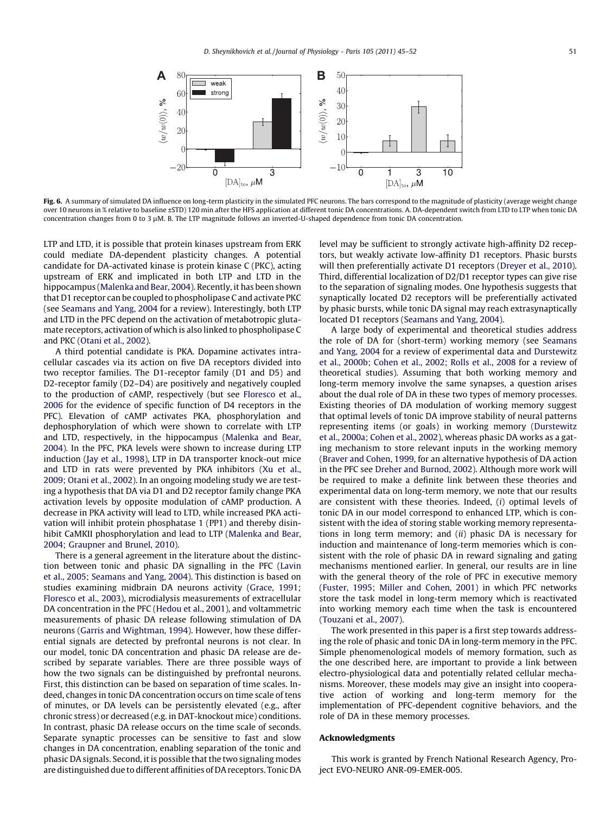<span id="page-6-0"></span>

Fig. 6. A summary of simulated DA influence on long-term plasticity in the simulated PFC neurons. The bars correspond to the magnitude of plasticity (average weight change over 10 neurons in % relative to baseline ±STD) 120 min after the HFS application at different tonic DA concentrations. A. DA-dependent switch from LTD to LTP when tonic DA concentration changes from 0 to 3 µM. B. The LTP magnitude follows an inverted-U-shaped dependence from tonic DA concentration.

LTP and LTD, it is possible that protein kinases upstream from ERK could mediate DA-dependent plasticity changes. A potential candidate for DA-activated kinase is protein kinase C (PKC), acting upstream of ERK and implicated in both LTP and LTD in the hippocampus ([Malenka and Bear, 2004\)](#page-7-0). Recently, it has been shown that D1 receptor can be coupled to phospholipase C and activate PKC (see [Seamans and Yang, 2004](#page-7-0) for a review). Interestingly, both LTP and LTD in the PFC depend on the activation of metabotropic glutamate receptors, activation of which is also linked to phospholipase C and PKC ([Otani et al., 2002](#page-7-0)).

A third potential candidate is PKA. Dopamine activates intracellular cascades via its action on five DA receptors divided into two receptor families. The D1-receptor family (D1 and D5) and D2-receptor family (D2–D4) are positively and negatively coupled to the production of cAMP, respectively (but see [Floresco et al.,](#page-7-0) [2006](#page-7-0) for the evidence of specific function of D4 receptors in the PFC). Elevation of cAMP activates PKA, phosphorylation and dephosphorylation of which were shown to correlate with LTP and LTD, respectively, in the hippocampus ([Malenka and Bear,](#page-7-0) [2004](#page-7-0)). In the PFC, PKA levels were shown to increase during LTP induction ([Jay et al., 1998](#page-7-0)), LTP in DA transporter knock-out mice and LTD in rats were prevented by PKA inhibitors [\(Xu et al.,](#page-7-0) [2009; Otani et al., 2002](#page-7-0)). In an ongoing modeling study we are testing a hypothesis that DA via D1 and D2 receptor family change PKA activation levels by opposite modulation of cAMP production. A decrease in PKA activity will lead to LTD, while increased PKA activation will inhibit protein phosphatase 1 (PP1) and thereby disinhibit CaMKII phosphorylation and lead to LTP ([Malenka and Bear,](#page-7-0) [2004; Graupner and Brunel, 2010](#page-7-0)).

There is a general agreement in the literature about the distinction between tonic and phasic DA signalling in the PFC [\(Lavin](#page-7-0) [et al., 2005; Seamans and Yang, 2004](#page-7-0)). This distinction is based on studies examining midbrain DA neurons activity ([Grace, 1991;](#page-7-0) [Floresco et al., 2003\)](#page-7-0), microdialysis measurements of extracellular DA concentration in the PFC [\(Hedou et al., 2001\)](#page-7-0), and voltammetric measurements of phasic DA release following stimulation of DA neurons ([Garris and Wightman, 1994](#page-7-0)). However, how these differential signals are detected by prefrontal neurons is not clear. In our model, tonic DA concentration and phasic DA release are described by separate variables. There are three possible ways of how the two signals can be distinguished by prefrontal neurons. First, this distinction can be based on separation of time scales. Indeed, changes in tonic DA concentration occurs on time scale of tens of minutes, or DA levels can be persistently elevated (e.g., after chronic stress) or decreased (e.g. in DAT-knockout mice) conditions. In contrast, phasic DA release occurs on the time scale of seconds. Separate synaptic processes can be sensitive to fast and slow changes in DA concentration, enabling separation of the tonic and phasic DA signals. Second, it is possible that the two signaling modes are distinguished due to different affinities of DA receptors. Tonic DA level may be sufficient to strongly activate high-affinity D2 receptors, but weakly activate low-affinity D1 receptors. Phasic bursts will then preferentially activate D1 receptors ([Dreyer et al., 2010\)](#page-7-0). Third, differential localization of D2/D1 receptor types can give rise to the separation of signaling modes. One hypothesis suggests that synaptically located D2 receptors will be preferentially activated by phasic bursts, while tonic DA signal may reach extrasynaptically located D1 receptors [\(Seamans and Yang, 2004\)](#page-7-0).

A large body of experimental and theoretical studies address the role of DA for (short-term) working memory (see [Seamans](#page-7-0) [and Yang, 2004](#page-7-0) for a review of experimental data and [Durstewitz](#page-7-0) [et al., 2000b; Cohen et al., 2002; Rolls et al., 2008](#page-7-0) for a review of theoretical studies). Assuming that both working memory and long-term memory involve the same synapses, a question arises about the dual role of DA in these two types of memory processes. Existing theories of DA modulation of working memory suggest that optimal levels of tonic DA improve stability of neural patterns representing items (or goals) in working memory ([Durstewitz](#page-7-0) [et al., 2000a; Cohen et al., 2002](#page-7-0)), whereas phasic DA works as a gating mechanism to store relevant inputs in the working memory ([Braver and Cohen, 1999,](#page-7-0) for an alternative hypothesis of DA action in the PFC see [Dreher and Burnod, 2002\)](#page-7-0). Although more work will be required to make a definite link between these theories and experimental data on long-term memory, we note that our results are consistent with these theories. Indeed, (i) optimal levels of tonic DA in our model correspond to enhanced LTP, which is consistent with the idea of storing stable working memory representations in long term memory; and  $(ii)$  phasic DA is necessary for induction and maintenance of long-term memories which is consistent with the role of phasic DA in reward signaling and gating mechanisms mentioned earlier. In general, our results are in line with the general theory of the role of PFC in executive memory ([Fuster, 1995; Miller and Cohen, 2001](#page-7-0)) in which PFC networks store the task model in long-term memory which is reactivated into working memory each time when the task is encountered ([Touzani et al., 2007](#page-7-0)).

The work presented in this paper is a first step towards addressing the role of phasic and tonic DA in long-term memory in the PFC. Simple phenomenological models of memory formation, such as the one described here, are important to provide a link between electro-physiological data and potentially related cellular mechanisms. Moreover, these models may give an insight into cooperative action of working and long-term memory for the implementation of PFC-dependent cognitive behaviors, and the role of DA in these memory processes.

### Acknowledgments

This work is granted by French National Research Agency, Project EVO-NEURO ANR-09-EMER-005.